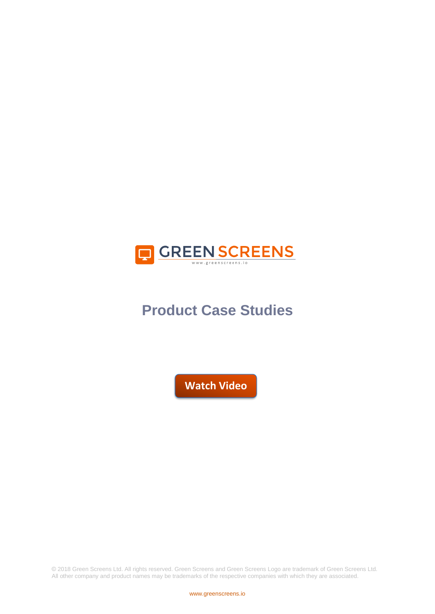

# **Product Case Studies**

**[Watch Video](https://vimeo.com/252130272)**

© 2018 Green Screens Ltd. All rights reserved. Green Screens and Green Screens Logo are trademark of Green Screens Ltd. All other company and product names may be trademarks of the respective companies with which they are associated.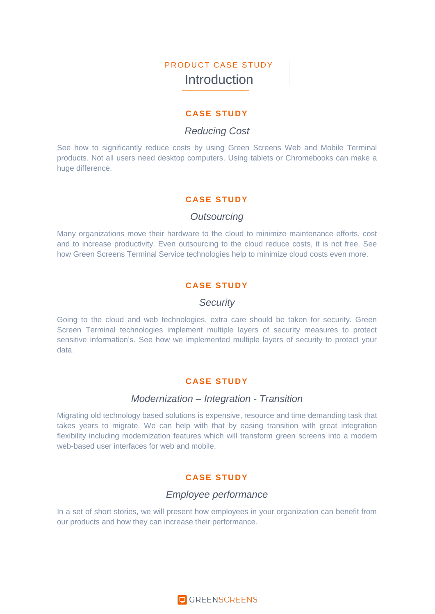# PRODUCT CASE STUDY Introduction

### **C ASE STUDY**

# *Reducing Cost*

See how to significantly reduce costs by using Green Screens Web and Mobile Terminal products. Not all users need desktop computers. Using tablets or Chromebooks can make a huge difference.

### **C ASE STUDY**

### *Outsourcing*

Many organizations move their hardware to the cloud to minimize maintenance efforts, cost and to increase productivity. Even outsourcing to the cloud reduce costs, it is not free. See how Green Screens Terminal Service technologies help to minimize cloud costs even more.

# **C ASE STUDY**

### *Security*

Going to the cloud and web technologies, extra care should be taken for security. Green Screen Terminal technologies implement multiple layers of security measures to protect sensitive information's. See how we implemented multiple layers of security to protect your data.

### **C ASE STUDY**

### *Modernization – Integration - Transition*

Migrating old technology based solutions is expensive, resource and time demanding task that takes years to migrate. We can help with that by easing transition with great integration flexibility including modernization features which will transform green screens into a modern web-based user interfaces for web and mobile.

# **C ASE STUDY**

# *Employee performance*

In a set of short stories, we will present how employees in your organization can benefit from our products and how they can increase their performance.

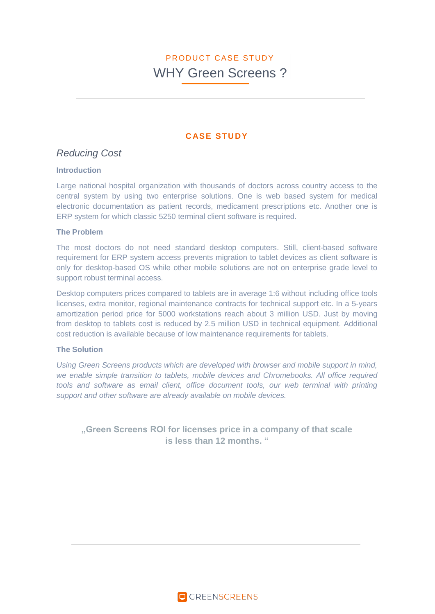# **C ASE STUDY**

# *Reducing Cost*

#### **Introduction**

Large national hospital organization with thousands of doctors across country access to the central system by using two enterprise solutions. One is web based system for medical electronic documentation as patient records, medicament prescriptions etc. Another one is ERP system for which classic 5250 terminal client software is required.

#### **The Problem**

The most doctors do not need standard desktop computers. Still, client-based software requirement for ERP system access prevents migration to tablet devices as client software is only for desktop-based OS while other mobile solutions are not on enterprise grade level to support robust terminal access.

Desktop computers prices compared to tablets are in average 1:6 without including office tools licenses, extra monitor, regional maintenance contracts for technical support etc. In a 5-years amortization period price for 5000 workstations reach about 3 million USD. Just by moving from desktop to tablets cost is reduced by 2.5 million USD in technical equipment. Additional cost reduction is available because of low maintenance requirements for tablets.

### **The Solution**

*Using Green Screens products which are developed with browser and mobile support in mind, we enable simple transition to tablets, mobile devices and Chromebooks. All office required tools and software as email client, office document tools, our web terminal with printing support and other software are already available on mobile devices.* 

**"Green Screens ROI for licenses price in a company of that scale is less than 12 months. "**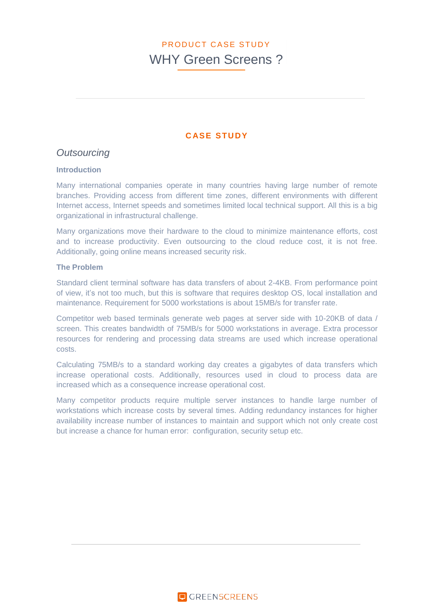# **C ASE STUDY**

# *Outsourcing*

#### **Introduction**

Many international companies operate in many countries having large number of remote branches. Providing access from different time zones, different environments with different Internet access, Internet speeds and sometimes limited local technical support. All this is a big organizational in infrastructural challenge.

Many organizations move their hardware to the cloud to minimize maintenance efforts, cost and to increase productivity. Even outsourcing to the cloud reduce cost, it is not free. Additionally, going online means increased security risk.

#### **The Problem**

Standard client terminal software has data transfers of about 2-4KB. From performance point of view, it's not too much, but this is software that requires desktop OS, local installation and maintenance. Requirement for 5000 workstations is about 15MB/s for transfer rate.

Competitor web based terminals generate web pages at server side with 10-20KB of data / screen. This creates bandwidth of 75MB/s for 5000 workstations in average. Extra processor resources for rendering and processing data streams are used which increase operational costs.

Calculating 75MB/s to a standard working day creates a gigabytes of data transfers which increase operational costs. Additionally, resources used in cloud to process data are increased which as a consequence increase operational cost.

Many competitor products require multiple server instances to handle large number of workstations which increase costs by several times. Adding redundancy instances for higher availability increase number of instances to maintain and support which not only create cost but increase a chance for human error: configuration, security setup etc.

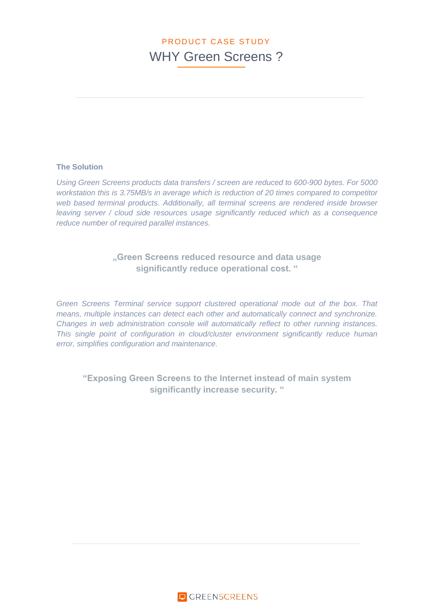### **The Solution**

*Using Green Screens products data transfers / screen are reduced to 600-900 bytes. For 5000 workstation this is 3.75MB/s in average which is reduction of 20 times compared to competitor web based terminal products. Additionally, all terminal screens are rendered inside browser leaving server / cloud side resources usage significantly reduced which as a consequence reduce number of required parallel instances.*

# **"Green Screens reduced resource and data usage significantly reduce operational cost. "**

*Green Screens Terminal service support clustered operational mode out of the box. That means, multiple instances can detect each other and automatically connect and synchronize. Changes in web administration console will automatically reflect to other running instances. This single point of configuration in cloud/cluster environment significantly reduce human error, simplifies configuration and maintenance.*

**"Exposing Green Screens to the Internet instead of main system significantly increase security. "**

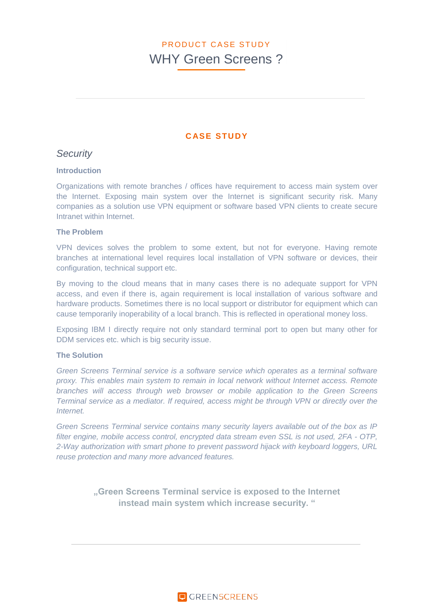# **C ASE STUDY**

# *Security*

#### **Introduction**

Organizations with remote branches / offices have requirement to access main system over the Internet. Exposing main system over the Internet is significant security risk. Many companies as a solution use VPN equipment or software based VPN clients to create secure Intranet within Internet.

#### **The Problem**

VPN devices solves the problem to some extent, but not for everyone. Having remote branches at international level requires local installation of VPN software or devices, their configuration, technical support etc.

By moving to the cloud means that in many cases there is no adequate support for VPN access, and even if there is, again requirement is local installation of various software and hardware products. Sometimes there is no local support or distributor for equipment which can cause temporarily inoperability of a local branch. This is reflected in operational money loss.

Exposing IBM I directly require not only standard terminal port to open but many other for DDM services etc. which is big security issue.

#### **The Solution**

*Green Screens Terminal service is a software service which operates as a terminal software proxy. This enables main system to remain in local network without Internet access. Remote branches will access through web browser or mobile application to the Green Screens Terminal service as a mediator. If required, access might be through VPN or directly over the Internet.*

*Green Screens Terminal service contains many security layers available out of the box as IP filter engine, mobile access control, encrypted data stream even SSL is not used, 2FA - OTP, 2-Way authorization with smart phone to prevent password hijack with keyboard loggers, URL reuse protection and many more advanced features.*

> **"Green Screens Terminal service is exposed to the Internet instead main system which increase security. "**

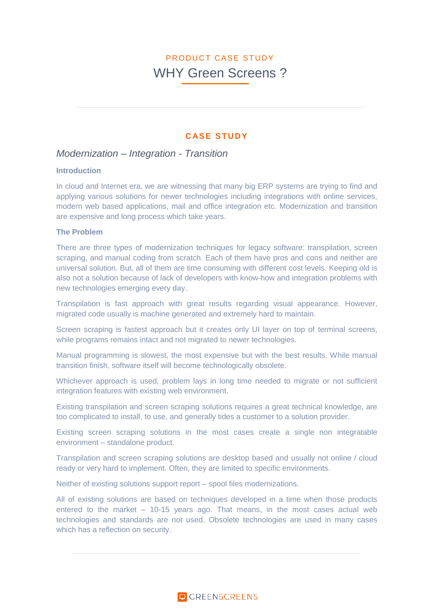### **C ASE STUDY**

### *Modernization – Integration - Transition*

#### **Introduction**

In cloud and Internet era, we are witnessing that many big ERP systems are trying to find and applying various solutions for newer technologies including integrations with online services, modern web based applications, mail and office integration etc. Modernization and transition are expensive and long process which take years.

#### **The Problem**

There are three types of modernization techniques for legacy software: transpilation, screen scraping, and manual coding from scratch. Each of them have pros and cons and neither are universal solution. But, all of them are time consuming with different cost levels. Keeping old is also not a solution because of lack of developers with know-how and integration problems with new technologies emerging every day.

Transpilation is fast approach with great results regarding visual appearance. However, migrated code usually is machine generated and extremely hard to maintain.

Screen scraping is fastest approach but it creates only UI layer on top of terminal screens, while programs remains intact and not migrated to newer technologies.

Manual programming is slowest, the most expensive but with the best results. While manual transition finish, software itself will become technologically obsolete.

Whichever approach is used, problem lays in long time needed to migrate or not sufficient integration features with existing web environment.

Existing transpilation and screen scraping solutions requires a great technical knowledge, are too complicated to install, to use, and generally tides a customer to a solution provider.

Existing screen scraping solutions in the most cases create a single non integratable environment – standalone product.

Transpilation and screen scraping solutions are desktop based and usually not online / cloud ready or very hard to implement. Often, they are limited to specific environments.

Neither of existing solutions support report – spool files modernizations.

All of existing solutions are based on techniques developed in a time when those products entered to the market – 10-15 years ago. That means, in the most cases actual web technologies and standards are not used. Obsolete technologies are used in many cases which has a reflection on security.

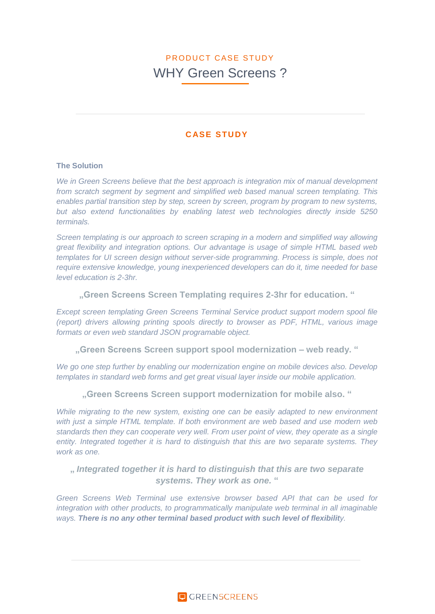# **C ASE STUDY**

#### **The Solution**

*We in Green Screens believe that the best approach is integration mix of manual development from scratch segment by segment and simplified web based manual screen templating. This enables partial transition step by step, screen by screen, program by program to new systems, but also extend functionalities by enabling latest web technologies directly inside 5250 terminals.*

*Screen templating is our approach to screen scraping in a modern and simplified way allowing great flexibility and integration options. Our advantage is usage of simple HTML based web templates for UI screen design without server-side programming. Process is simple, does not require extensive knowledge, young inexperienced developers can do it, time needed for base level education is 2-3hr.*

#### **"Green Screens Screen Templating requires 2-3hr for education. "**

*Except screen templating Green Screens Terminal Service product support modern spool file (report) drivers allowing printing spools directly to browser as PDF, HTML, various image formats or even web standard JSON programable object.* 

**"Green Screens Screen support spool modernization – web ready. "**

*We go one step further by enabling our modernization engine on mobile devices also. Develop templates in standard web forms and get great visual layer inside our mobile application.* 

**"Green Screens Screen support modernization for mobile also. "**

*While migrating to the new system, existing one can be easily adapted to new environment with just a simple HTML template. If both environment are web based and use modern web standards then they can cooperate very well. From user point of view, they operate as a single entity. Integrated together it is hard to distinguish that this are two separate systems. They work as one.*

# **"** *Integrated together it is hard to distinguish that this are two separate systems. They work as one.* **"**

*Green Screens Web Terminal use extensive browser based API that can be used for integration with other products, to programmatically manipulate web terminal in all imaginable ways. There is no any other terminal based product with such level of flexibility.* 

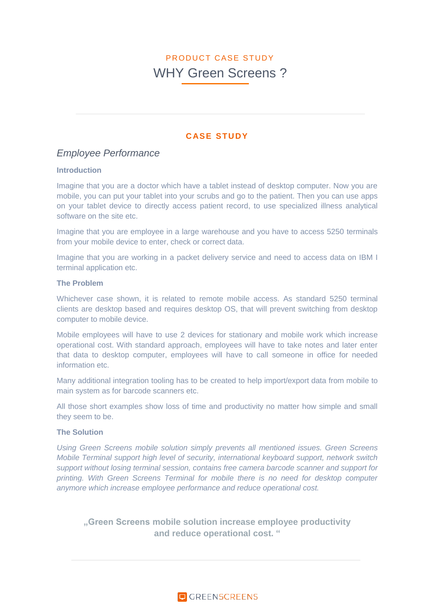# **C ASE STUDY**

# *Employee Performance*

#### **Introduction**

Imagine that you are a doctor which have a tablet instead of desktop computer. Now you are mobile, you can put your tablet into your scrubs and go to the patient. Then you can use apps on your tablet device to directly access patient record, to use specialized illness analytical software on the site etc.

Imagine that you are employee in a large warehouse and you have to access 5250 terminals from your mobile device to enter, check or correct data.

Imagine that you are working in a packet delivery service and need to access data on IBM I terminal application etc.

#### **The Problem**

Whichever case shown, it is related to remote mobile access. As standard 5250 terminal clients are desktop based and requires desktop OS, that will prevent switching from desktop computer to mobile device.

Mobile employees will have to use 2 devices for stationary and mobile work which increase operational cost. With standard approach, employees will have to take notes and later enter that data to desktop computer, employees will have to call someone in office for needed information etc.

Many additional integration tooling has to be created to help import/export data from mobile to main system as for barcode scanners etc.

All those short examples show loss of time and productivity no matter how simple and small they seem to be.

#### **The Solution**

*Using Green Screens mobile solution simply prevents all mentioned issues. Green Screens Mobile Terminal support high level of security, international keyboard support, network switch support without losing terminal session, contains free camera barcode scanner and support for printing. With Green Screens Terminal for mobile there is no need for desktop computer anymore which increase employee performance and reduce operational cost.*

**"Green Screens mobile solution increase employee productivity and reduce operational cost. "**